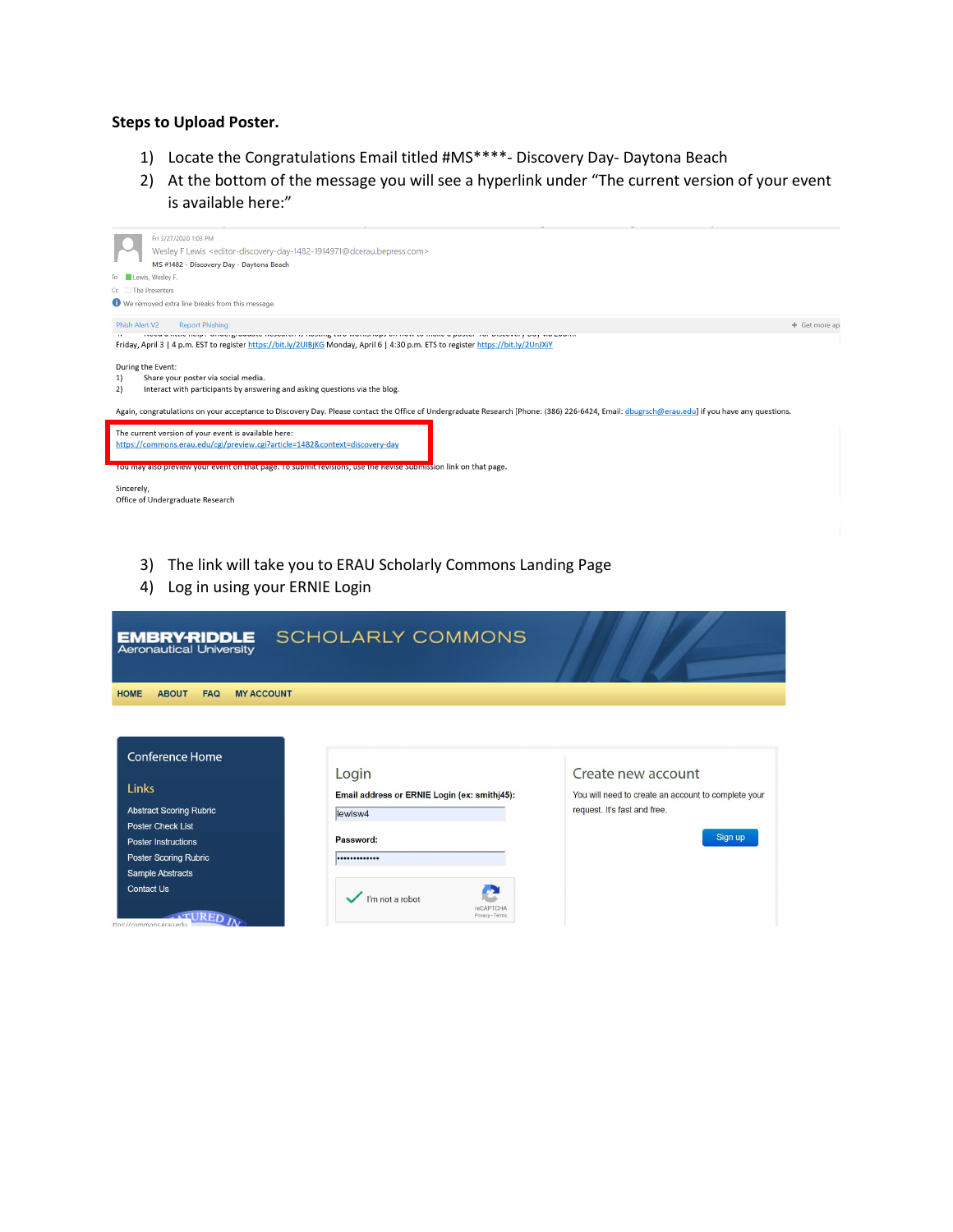## **Steps to Upload Poster.**

- 1) Locate the Congratulations Email titled #MS\*\*\*\*- Discovery Day- Daytona Beach
- 2) At the bottom of the message you will see a hyperlink under "The current version of your event is available here:"



- 3) The link will take you to ERAU Scholarly Commons Landing Page
- 4) Log in using your ERNIE Login

| <b>EMBRY-RIDDLE</b><br><b>Aeronautical University</b>                           | <b>SCHOLARLY COMMONS</b>                                         |                                                                                                           |
|---------------------------------------------------------------------------------|------------------------------------------------------------------|-----------------------------------------------------------------------------------------------------------|
| <b>HOME</b><br><b>ABOUT</b><br><b>MY ACCOUNT</b><br><b>FAQ</b>                  |                                                                  |                                                                                                           |
| <b>Conference Home</b>                                                          |                                                                  |                                                                                                           |
| Links<br><b>Abstract Scoring Rubric</b>                                         | Login<br>Email address or ERNIE Login (ex: smithj45):<br>lewisw4 | Create new account<br>You will need to create an account to complete your<br>request. It's fast and free. |
| <b>Poster Check List</b><br><b>Poster Instructions</b><br>Poster Scoring Rubric | Password:<br>                                                    | Sign up                                                                                                   |
| Sample Abstracts<br><b>Contact Us</b><br>ittps://commons.erau.edu               | I'm not a robot<br>reCAPTCHA<br>Privacy - Terms                  |                                                                                                           |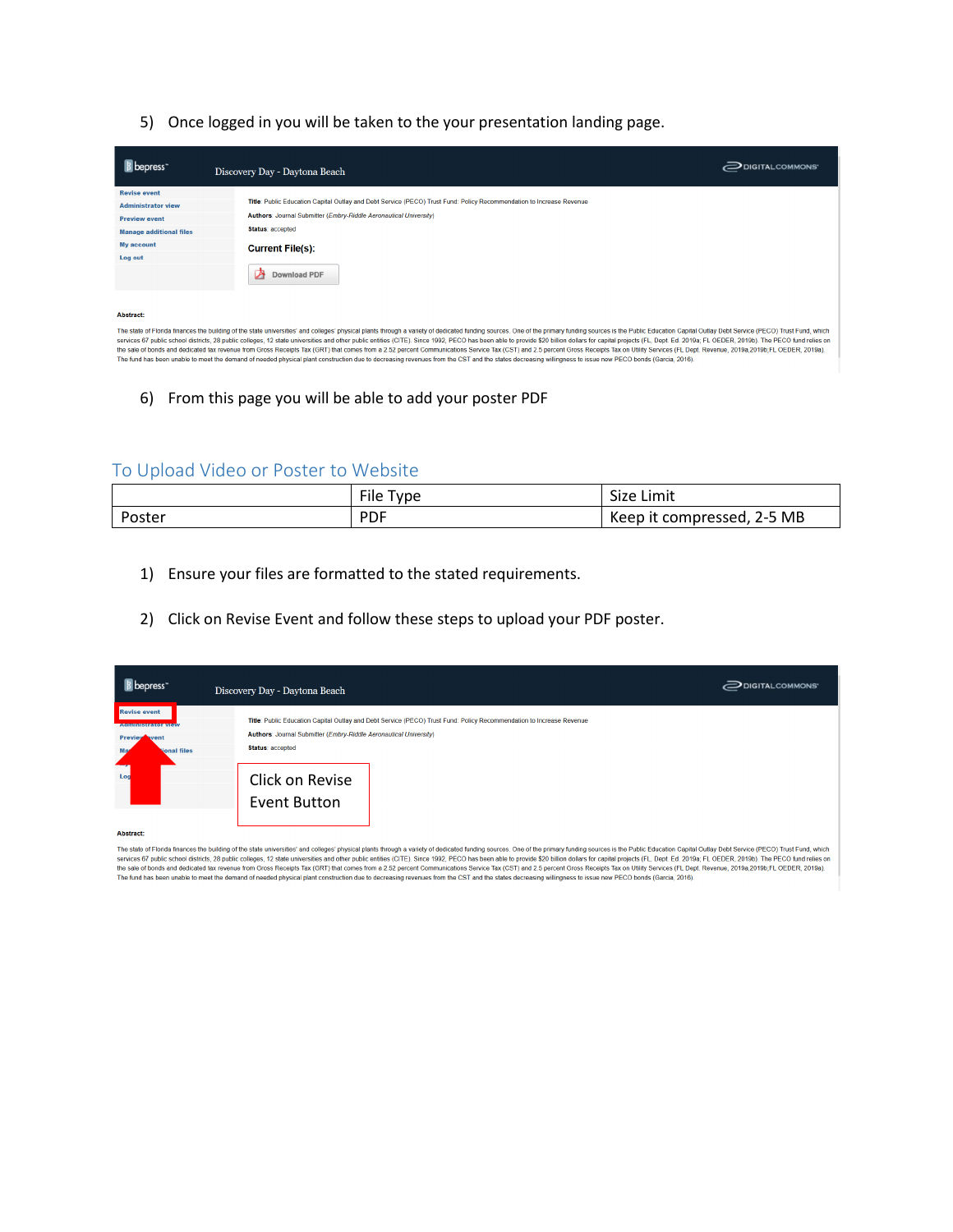5) Once logged in you will be taken to the your presentation landing page.

| <b>B</b> bepress               | Discovery Day - Daytona Beach                                                                                        | DIGITAL COMMONS' |
|--------------------------------|----------------------------------------------------------------------------------------------------------------------|------------------|
| <b>Revise event</b>            |                                                                                                                      |                  |
| <b>Administrator view</b>      | Title: Public Education Capital Outlay and Debt Service (PECO) Trust Fund: Policy Recommendation to Increase Revenue |                  |
| <b>Preview event</b>           | Authors: Journal Submitter (Embry-Riddle Aeronautical University)                                                    |                  |
| <b>Manage additional files</b> | Status: accepted                                                                                                     |                  |
| <b>My account</b>              | <b>Current File(s):</b>                                                                                              |                  |
| Log out                        |                                                                                                                      |                  |
|                                | 囪<br>Download PDF                                                                                                    |                  |
| <b>Abetroot</b>                |                                                                                                                      |                  |

The state of Florida finances the building of the state universities' and colleges' physical plants through a variety of dedicated funding sources. One of the primary funding sources is the Public Education Capital Outlay The fund and decircular and decircular surface that we show that surface in the state universities and other public entities (CITE). Since 1992, PECO has been able to provide \$20 billion dollars for capital projects FL, De

6) From this page you will be able to add your poster PDF

## To Upload Video or Poster to Website

|        | File<br>vpe- | Size Limit                 |
|--------|--------------|----------------------------|
| Poster | <b>PDF</b>   | compressed, 2-5 MB<br>Keep |

- 1) Ensure your files are formatted to the stated requirements.
- 2) Click on Revise Event and follow these steps to upload your PDF poster.

| <b>B</b> bepress                                                                                             | Discovery Day - Daytona Beach                                                                                                                                                                                                    | $\supseteq$ DIGITAL COMMONS' |
|--------------------------------------------------------------------------------------------------------------|----------------------------------------------------------------------------------------------------------------------------------------------------------------------------------------------------------------------------------|------------------------------|
| <b>Revise event</b><br><b>Administrator view</b><br><b>Preview event</b><br>Mag<br><b>Nonal files</b><br>Lod | Title: Public Education Capital Outlay and Debt Service (PECO) Trust Fund: Policy Recommendation to Increase Revenue<br>Authors: Journal Submitter (Embry-Riddle Aeronautical University)<br>Status: accepted<br>Click on Revise |                              |
| Abstracts.                                                                                                   | <b>Event Button</b>                                                                                                                                                                                                              |                              |

The state of Florida finances the building of the state universities' and colleges' physical plants through a variety of dedicated funding sources. One of the primary funding sources is the Public Education Capital Outlay The fund has been unable to meet the demand of needed physical plant construction due to decreasing revenues from the CST and the states decreasing willingness to issue new PECO bonds (Garcia, 2016).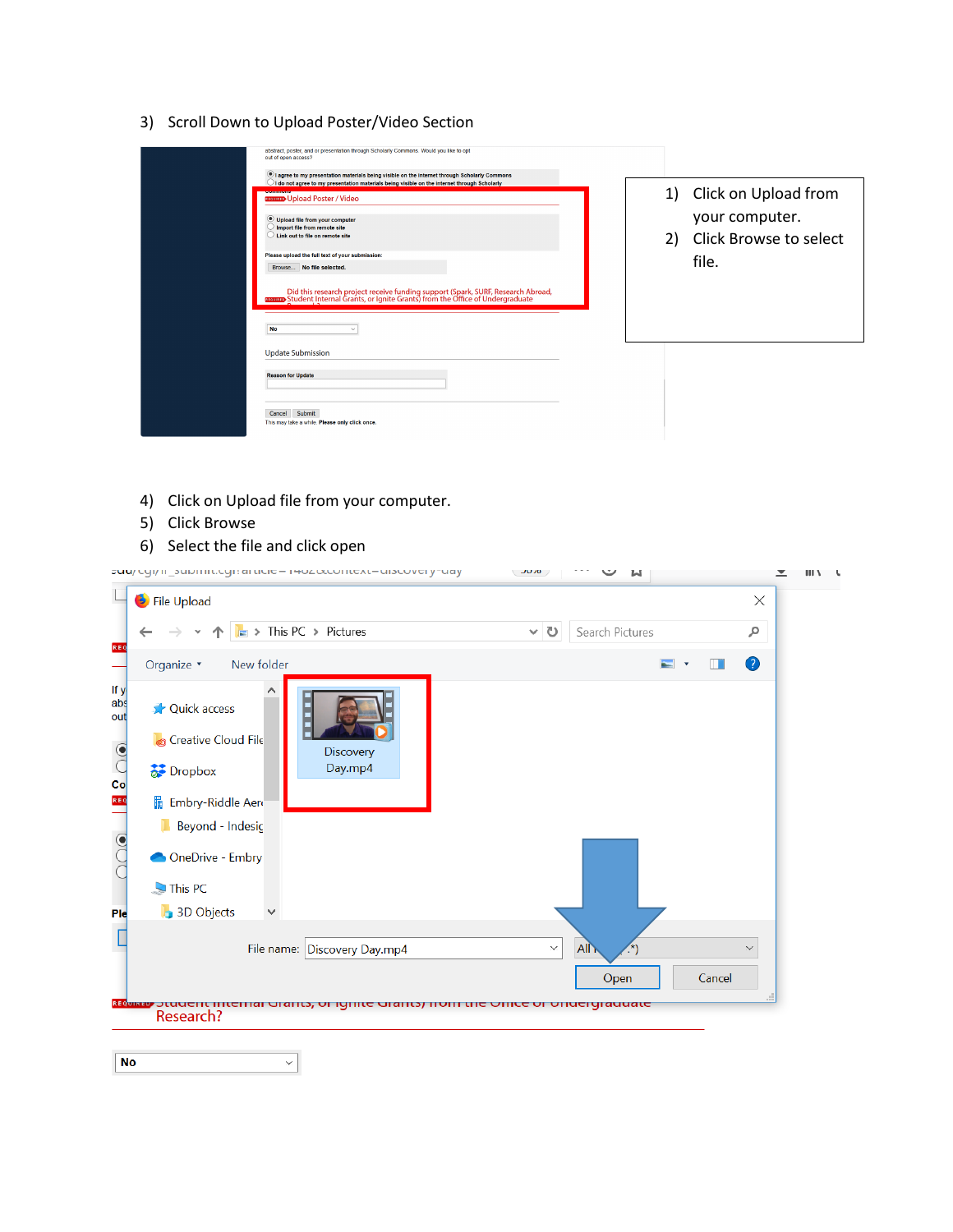3) Scroll Down to Upload Poster/Video Section

| abstract, poster, and or presentation through Scholarly Commons. Would you like to opt<br>out of open access?<br><sup>(6)</sup> I agree to my presentation materials being visible on the internet through Scholarly Commons<br>$\bigcup$ I do not agree to my presentation materials being visible on the internet through Scholarly |                                                                                 |
|---------------------------------------------------------------------------------------------------------------------------------------------------------------------------------------------------------------------------------------------------------------------------------------------------------------------------------------|---------------------------------------------------------------------------------|
| <b>BROWERD</b> Upload Poster / Video<br>Upload file from your computer<br>Import file from remote site<br>Link out to file on remote site<br>Please upload the full text of your submission:<br>Browse No file selected.<br>Did this research project receive funding support (Spark, SURF, Research Abroad,<br><b>No</b>             | 1) Click on Upload from<br>your computer.<br>2) Click Browse to select<br>file. |
| <b>Update Submission</b><br><b>Reason for Update</b><br>Cancel Submit<br>This may take a while. Please only click once.                                                                                                                                                                                                               |                                                                                 |

4) Click on Upload file from your computer.

 $\vert$   $\vert$ 

5) Click Browse

 $N<sub>o</sub>$ 

6) Select the file and click open

|                                                                                 |                                                                                                                | cuu/ cyi/ ii _bubi iiit.cyi: ai ticic- iwozoccontext-uibcovery-uay                                                          | $\sqrt{20.70}$ |              | N               |                                      |        |              | ≖ | $III$ $V$ |  |
|---------------------------------------------------------------------------------|----------------------------------------------------------------------------------------------------------------|-----------------------------------------------------------------------------------------------------------------------------|----------------|--------------|-----------------|--------------------------------------|--------|--------------|---|-----------|--|
| File Upload                                                                     |                                                                                                                |                                                                                                                             |                |              |                 |                                      |        | $\times$     |   |           |  |
| REQ                                                                             |                                                                                                                | $\Box$ > This PC > Pictures                                                                                                 | $\vee$         | U            | Search Pictures |                                      |        | مر           |   |           |  |
| Organize *                                                                      | New folder                                                                                                     |                                                                                                                             |                |              |                 | $\equiv$<br>$\overline{\phantom{a}}$ | Ш      | $\bullet$    |   |           |  |
| If y<br>abs<br>out<br>$\overline{\phantom{0}^{6}}$<br>Dropbox<br>REQ<br>$\odot$ | <b>Quick access</b><br><b>Creative Cloud File</b><br>Embry-Riddle Aero<br>Beyond - Indesic<br>OneDrive - Embry | Discovery<br>Day.mp4                                                                                                        |                |              |                 |                                      |        |              |   |           |  |
| This PC                                                                         |                                                                                                                |                                                                                                                             |                |              |                 |                                      |        |              |   |           |  |
| Ple                                                                             | <b>B</b> 3D Objects                                                                                            |                                                                                                                             |                |              |                 |                                      |        |              |   |           |  |
|                                                                                 |                                                                                                                | File name: Discovery Day.mp4                                                                                                |                | $\checkmark$ | All<br>Open     |                                      | Cancel | $\checkmark$ |   |           |  |
|                                                                                 | Research?                                                                                                      | <mark>גנע שע</mark> סנטט <del>כות וותכוח</del> מו שומונג, טו ושווונ <del>כ</del> שומונג) ווטווו נווכ טוווככ טו טווטכושומטנכ |                |              |                 |                                      |        |              |   |           |  |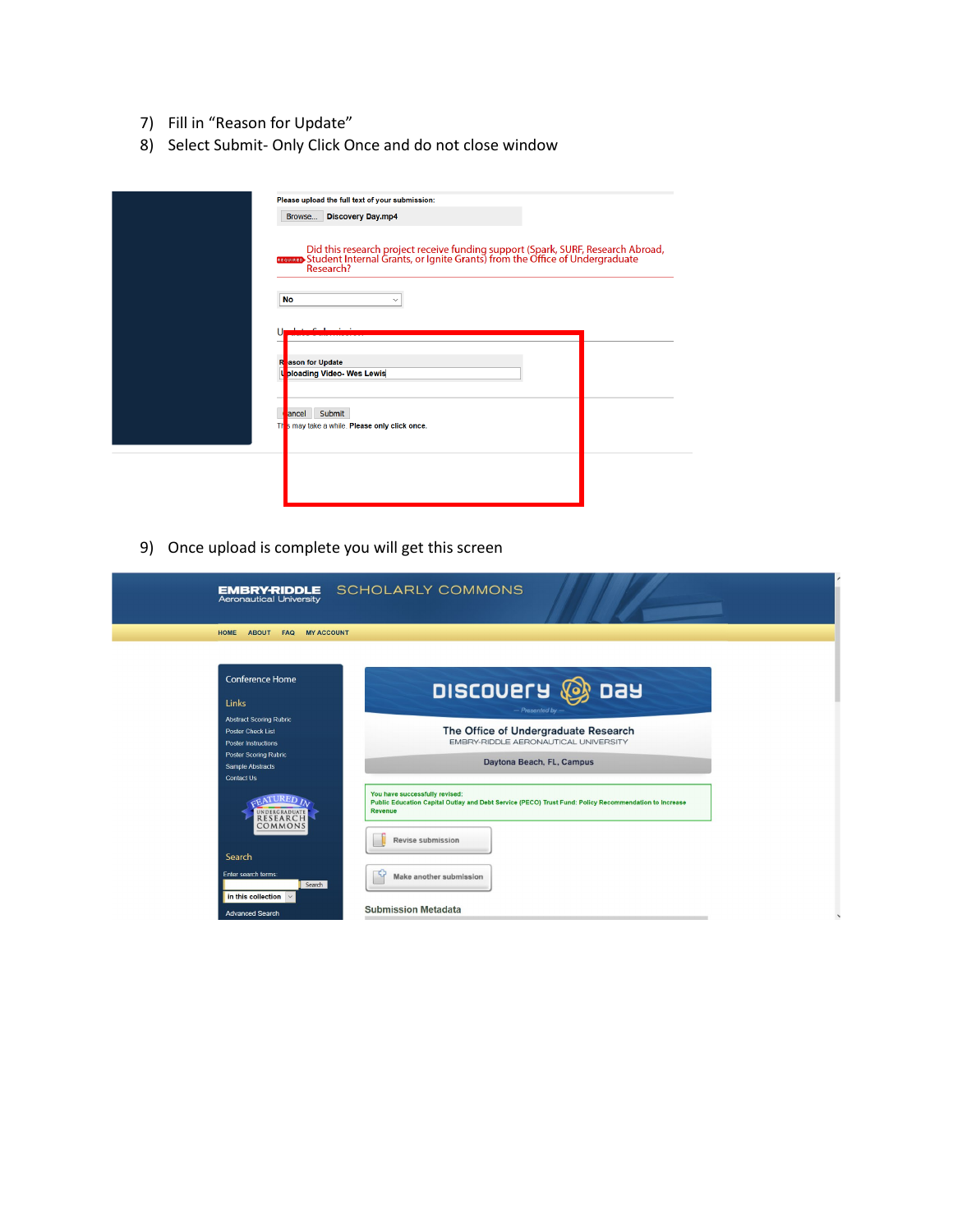- 7) Fill in "Reason for Update"
- 8) Select Submit- Only Click Once and do not close window

| Please upload the full text of your submission:                                                                                                                                   |
|-----------------------------------------------------------------------------------------------------------------------------------------------------------------------------------|
| Browse Discovery Day.mp4                                                                                                                                                          |
| Did this research project receive funding support (Spark, SURF, Research Abroad, Treator Student Internal Grants, or Ignite Grants) from the Office of Undergraduate<br>Research? |
| <b>No</b><br>$\checkmark$                                                                                                                                                         |
|                                                                                                                                                                                   |
|                                                                                                                                                                                   |
| R<br>ason for Update                                                                                                                                                              |
| t<br><b>ploading Video-Wes Lewis</b>                                                                                                                                              |
|                                                                                                                                                                                   |
| Submit<br><b>T</b> ancel<br>TH<br>s may take a while. Please only click once.                                                                                                     |
|                                                                                                                                                                                   |
|                                                                                                                                                                                   |
|                                                                                                                                                                                   |
|                                                                                                                                                                                   |

9) Once upload is complete you will get this screen

| <b>EMBRY-RIDDLE</b><br>Aeronautical University                                                                                                                                                                                                                                                                       | <b>SCHOLARLY COMMONS</b>                                                                                                                                                                                                                                                                                                                                                                    |  |
|----------------------------------------------------------------------------------------------------------------------------------------------------------------------------------------------------------------------------------------------------------------------------------------------------------------------|---------------------------------------------------------------------------------------------------------------------------------------------------------------------------------------------------------------------------------------------------------------------------------------------------------------------------------------------------------------------------------------------|--|
| HOME<br>ABOUT FAQ<br><b>MY ACCOUNT</b>                                                                                                                                                                                                                                                                               |                                                                                                                                                                                                                                                                                                                                                                                             |  |
| <b>Conference Home</b><br>Links<br><b>Abstract Scoring Rubric</b><br>Poster Check List<br><b>Poster Instructions</b><br>Poster Scoring Rubric<br><b>Sample Abstracts</b><br>Contact Us<br>UNDERGRADUATE<br>COMMONS<br>Search<br>Enter search terms:<br>Search<br>in this collection $\vee$<br><b>Advanced Search</b> | DISCOVERY & DAY<br>- Presented by -<br>The Office of Undergraduate Research<br>EMBRY-RIDDLE AERONAUTICAL UNIVERSITY<br>Daytona Beach, FL, Campus<br>You have successfully revised:<br>Public Education Capital Outlay and Debt Service (PECO) Trust Fund: Policy Recommendation to Increase<br><b>Revenue</b><br>Revise submission<br>Make another submission<br><b>Submission Metadata</b> |  |